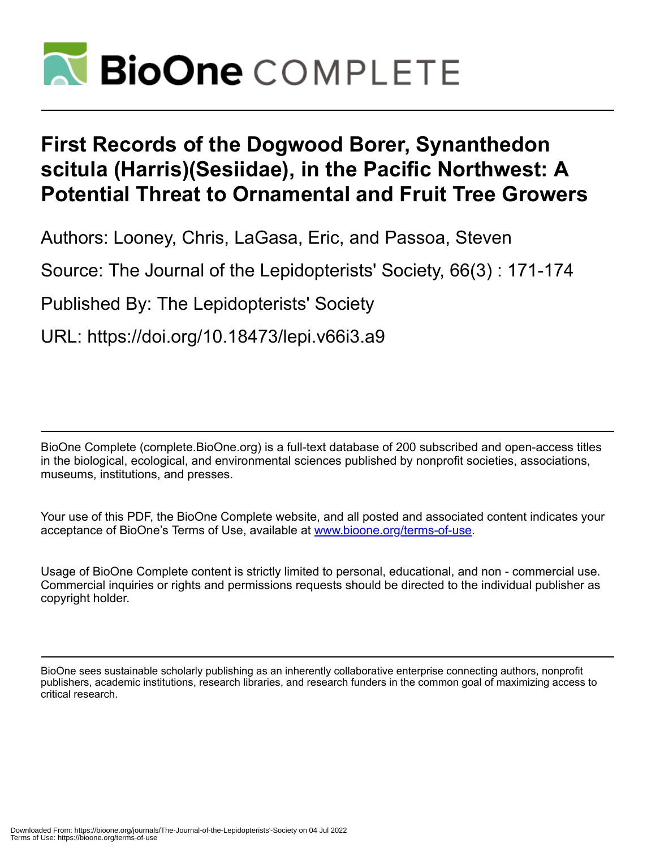

# **First Records of the Dogwood Borer, Synanthedon scitula (Harris)(Sesiidae), in the Pacific Northwest: A Potential Threat to Ornamental and Fruit Tree Growers**

Authors: Looney, Chris, LaGasa, Eric, and Passoa, Steven

Source: The Journal of the Lepidopterists' Society, 66(3) : 171-174

Published By: The Lepidopterists' Society

URL: https://doi.org/10.18473/lepi.v66i3.a9

BioOne Complete (complete.BioOne.org) is a full-text database of 200 subscribed and open-access titles in the biological, ecological, and environmental sciences published by nonprofit societies, associations, museums, institutions, and presses.

Your use of this PDF, the BioOne Complete website, and all posted and associated content indicates your acceptance of BioOne's Terms of Use, available at www.bioone.org/terms-of-use.

Usage of BioOne Complete content is strictly limited to personal, educational, and non - commercial use. Commercial inquiries or rights and permissions requests should be directed to the individual publisher as copyright holder.

BioOne sees sustainable scholarly publishing as an inherently collaborative enterprise connecting authors, nonprofit publishers, academic institutions, research libraries, and research funders in the common goal of maximizing access to critical research.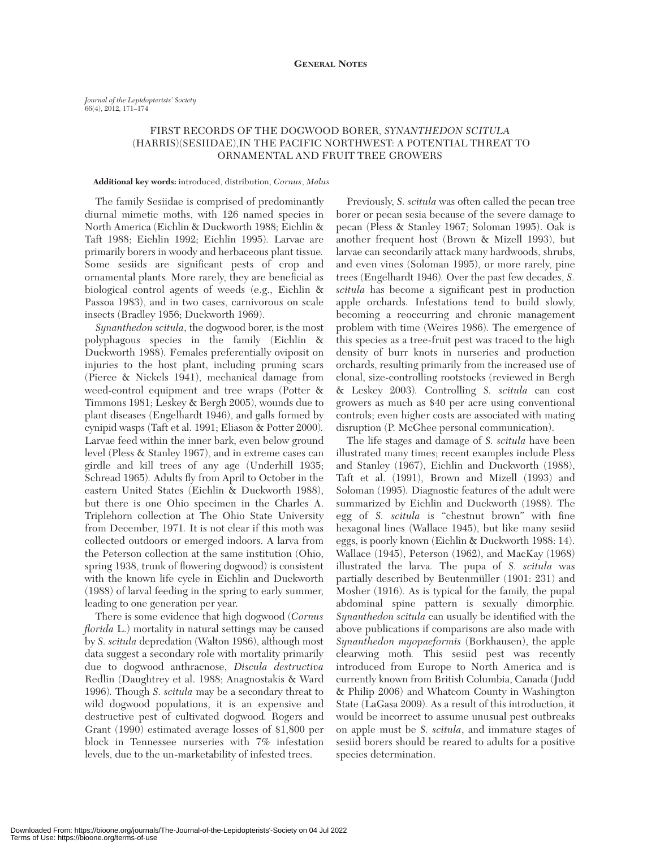## FIRST RECORDS OF THE DOGWOOD BORER, *SYNANTHEDON SCITULA* (HARRIS)(SESIIDAE),IN THE PACIFIC NORTHWEST: A POTENTIAL THREAT TO ORNAMENTAL AND FRUIT TREE GROWERS

### **Additional key words:** introduced, distribution, *Cornus*, *Malus*

The family Sesiidae is comprised of predominantly diurnal mimetic moths, with 126 named species in North America (Eichlin & Duckworth 1988; Eichlin & Taft 1988; Eichlin 1992; Eichlin 1995)*.* Larvae are primarily borers in woody and herbaceous plant tissue*.* Some sesiids are significant pests of crop and ornamental plants*.* More rarely, they are beneficial as biological control agents of weeds (e.g., Eichlin & Passoa 1983), and in two cases, carnivorous on scale insects (Bradley 1956; Duckworth 1969).

*Synanthedon scitula*, the dogwood borer, is the most polyphagous species in the family (Eichlin & Duckworth 1988)*.* Females preferentially oviposit on injuries to the host plant, including pruning scars (Pierce & Nickels 1941), mechanical damage from weed-control equipment and tree wraps (Potter & Timmons 1981; Leskey & Bergh 2005), wounds due to plant diseases (Engelhardt 1946), and galls formed by cynipid wasps (Taft et al. 1991; Eliason & Potter 2000)*.* Larvae feed within the inner bark, even below ground level (Pless & Stanley 1967), and in extreme cases can girdle and kill trees of any age (Underhill 1935; Schread 1965)*.* Adults fly from April to October in the eastern United States (Eichlin & Duckworth 1988), but there is one Ohio specimen in the Charles A. Triplehorn collection at The Ohio State University from December, 1971*.* It is not clear if this moth was collected outdoors or emerged indoors. A larva from the Peterson collection at the same institution (Ohio, spring 1938, trunk of flowering dogwood) is consistent with the known life cycle in Eichlin and Duckworth (1988) of larval feeding in the spring to early summer, leading to one generation per year.

There is some evidence that high dogwood (*Cornus florida* L.) mortality in natural settings may be caused by *S. scitula* depredation (Walton 1986), although most data suggest a secondary role with mortality primarily due to dogwood anthracnose, *Discula destructiva* Redlin (Daughtrey et al. 1988; Anagnostakis & Ward 1996)*.* Though *S. scitula* may be a secondary threat to wild dogwood populations, it is an expensive and destructive pest of cultivated dogwood*.* Rogers and Grant (1990) estimated average losses of \$1,800 per block in Tennessee nurseries with 7% infestation levels, due to the un-marketability of infested trees.

Previously, *S. scitula* was often called the pecan tree borer or pecan sesia because of the severe damage to pecan (Pless & Stanley 1967; Soloman 1995). Oak is another frequent host (Brown & Mizell 1993), but larvae can secondarily attack many hardwoods, shrubs, and even vines (Soloman 1995), or more rarely, pine trees (Engelhardt 1946)*.* Over the past few decades, *S. scitula* has become a significant pest in production apple orchards*.* Infestations tend to build slowly, becoming a reoccurring and chronic management problem with time (Weires 1986)*.* The emergence of this species as a tree-fruit pest was traced to the high density of burr knots in nurseries and production orchards, resulting primarily from the increased use of clonal, size-controlling rootstocks (reviewed in Bergh & Leskey 2003)*.* Controlling *S. scitula* can cost growers as much as \$40 per acre using conventional controls; even higher costs are associated with mating disruption (P. McGhee personal communication).

The life stages and damage of *S. scitula* have been illustrated many times; recent examples include Pless and Stanley (1967), Eichlin and Duckworth (1988), Taft et al. (1991), Brown and Mizell (1993) and Soloman (1995)*.* Diagnostic features of the adult were summarized by Eichlin and Duckworth (1988)*.* The egg of *S. scitula* is "chestnut brown" with fine hexagonal lines (Wallace 1945), but like many sesiid eggs, is poorly known (Eichlin & Duckworth 1988: 14). Wallace (1945), Peterson (1962), and MacKay (1968) illustrated the larva*.* The pupa of *S. scitula* was partially described by Beutenmüller (1901: 231) and Mosher (1916)*.* As is typical for the family, the pupal abdominal spine pattern is sexually dimorphic*. Synanthedon scitula* can usually be identified with the above publications if comparisons are also made with *Synanthedon myopaeformis* (Borkhausen), the apple clearwing moth*.* This sesiid pest was recently introduced from Europe to North America and is currently known from British Columbia, Canada (Judd & Philip 2006) and Whatcom County in Washington State (LaGasa 2009)*.* As a result of this introduction, it would be incorrect to assume unusual pest outbreaks on apple must be *S. scitula*, and immature stages of sesiid borers should be reared to adults for a positive species determination.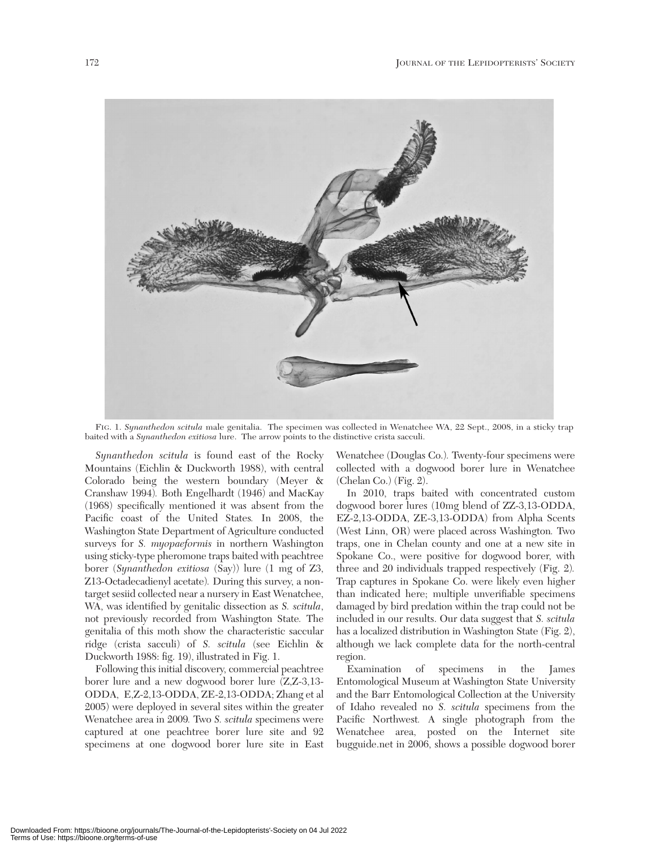

FIG. 1. *Synanthedon scitula* male genitalia. The specimen was collected in Wenatchee WA, 22 Sept., 2008, in a sticky trap baited with a *Synanthedon exitiosa* lure. The arrow points to the distinctive crista sacculi.

*Synanthedon scitula* is found east of the Rocky Mountains (Eichlin & Duckworth 1988), with central Colorado being the western boundary (Meyer & Cranshaw 1994)*.* Both Engelhardt (1946) and MacKay (1968) specifically mentioned it was absent from the Pacific coast of the United States*.* In 2008, the Washington State Department of Agriculture conducted surveys for *S. myopaeformis* in northern Washington using sticky-type pheromone traps baited with peachtree borer (*Synanthedon exitiosa* (Say)) lure (1 mg of Z3, Z13-Octadecadienyl acetate)*.* During this survey, a nontarget sesiid collected near a nursery in East Wenatchee, WA, was identified by genitalic dissection as *S. scitula*, not previously recorded from Washington State*.* The genitalia of this moth show the characteristic saccular ridge (crista sacculi) of *S. scitula* (see Eichlin & Duckworth 1988: fig. 19), illustrated in Fig. 1.

Following this initial discovery, commercial peachtree borer lure and a new dogwood borer lure (Z,Z-3,13- ODDA, E,Z-2,13-ODDA, ZE-2,13-ODDA; Zhang et al 2005) were deployed in several sites within the greater Wenatchee area in 2009*.* Two *S. scitula* specimens were captured at one peachtree borer lure site and 92 specimens at one dogwood borer lure site in East

Wenatchee (Douglas Co.)*.* Twenty-four specimens were collected with a dogwood borer lure in Wenatchee (Chelan Co.) (Fig. 2).

In 2010, traps baited with concentrated custom dogwood borer lures (10mg blend of ZZ-3,13-ODDA, EZ-2,13-ODDA, ZE-3,13-ODDA) from Alpha Scents (West Linn, OR) were placed across Washington*.* Two traps, one in Chelan county and one at a new site in Spokane Co., were positive for dogwood borer, with three and 20 individuals trapped respectively (Fig. 2)*.* Trap captures in Spokane Co. were likely even higher than indicated here; multiple unverifiable specimens damaged by bird predation within the trap could not be included in our results. Our data suggest that *S. scitula* has a localized distribution in Washington State (Fig. 2), although we lack complete data for the north-central region.

Examination of specimens in the James Entomological Museum at Washington State University and the Barr Entomological Collection at the University of Idaho revealed no *S. scitula* specimens from the Pacific Northwest*.* A single photograph from the Wenatchee area, posted on the Internet site bugguide.net in 2006, shows a possible dogwood borer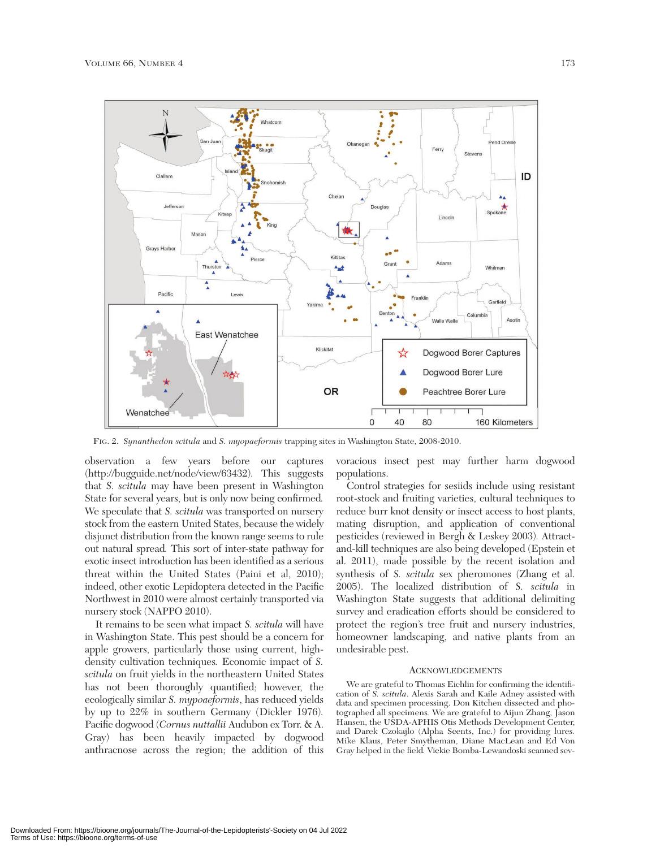

FIG. 2. *Synanthedon scitula* and *S. myopaeformis* trapping sites in Washington State, 2008-2010.

observation a few years before our captures (http://bugguide.net/node/view/63432)*.* This suggests that *S. scitula* may have been present in Washington State for several years, but is only now being confirmed*.* We speculate that *S. scitula* was transported on nursery stock from the eastern United States, because the widely disjunct distribution from the known range seems to rule out natural spread*.* This sort of inter-state pathway for exotic insect introduction has been identified as a serious threat within the United States (Paini et al, 2010); indeed, other exotic Lepidoptera detected in the Pacific Northwest in 2010 were almost certainly transported via nursery stock (NAPPO 2010).

It remains to be seen what impact *S. scitula* will have in Washington State. This pest should be a concern for apple growers, particularly those using current, highdensity cultivation techniques*.* Economic impact of *S. scitula* on fruit yields in the northeastern United States has not been thoroughly quantified; however, the ecologically similar *S. mypoaeformis*, has reduced yields by up to 22% in southern Germany (Dickler 1976)*.* Pacific dogwood (*Cornus nuttallii* Audubon ex Torr. & A. Gray) has been heavily impacted by dogwood anthracnose across the region; the addition of this

voracious insect pest may further harm dogwood populations.

Control strategies for sesiids include using resistant root-stock and fruiting varieties, cultural techniques to reduce burr knot density or insect access to host plants, mating disruption, and application of conventional pesticides (reviewed in Bergh & Leskey 2003)*.* Attractand-kill techniques are also being developed (Epstein et al. 2011), made possible by the recent isolation and synthesis of *S. scitula* sex pheromones (Zhang et al. 2005). The localized distribution of *S. scitula* in Washington State suggests that additional delimiting survey and eradication efforts should be considered to protect the region's tree fruit and nursery industries, homeowner landscaping, and native plants from an undesirable pest.

#### **ACKNOWLEDGEMENTS**

We are grateful to Thomas Eichlin for confirming the identification of *S. scitula*. Alexis Sarah and Kaile Adney assisted with data and specimen processing. Don Kitchen dissected and photographed all specimens*.* We are grateful to Aijun Zhang, Jason Hansen, the USDA-APHIS Otis Methods Development Center, and Darek Czokajlo (Alpha Scents, Inc.) for providing lures*.* Mike Klaus, Peter Smytheman, Diane MacLean and Ed Von Gray helped in the field*.* Vickie Bomba-Lewandoski scanned sev-